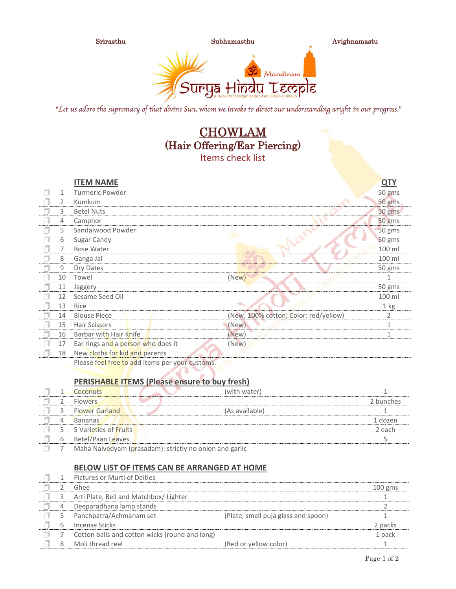

Srirasthu Subhamasthu Avighnamastu



"Let us adore the supremacy of that divine Sun, whom we invoke to direct our understanding aright in our progress."

# **CHOWLAM** (Hair Offering/Ear Piercing) Items check list

|   |    | <b>ITEM NAME</b>                                |                                       | <b>QTY</b>   |
|---|----|-------------------------------------------------|---------------------------------------|--------------|
| A | 1  | <b>Turmeric Powder</b>                          |                                       | 50 gms       |
| 门 | 2  | <b>Kumkum</b>                                   |                                       | 50 gms       |
|   | 3  | <b>Betel Nuts</b>                               |                                       | 50 gms       |
|   | 4  | Camphor                                         |                                       | 50 gms       |
| A | 5  | Sandalwood Powder                               |                                       | 50 gms       |
| A | 6  | Sugar Candy                                     |                                       | 50 gms       |
|   | 7  | Rose Water                                      | m in                                  | 100 ml       |
| A | 8  | Ganga Jal                                       |                                       | 100 ml       |
|   | 9  | Dry Dates                                       |                                       | 50 gms       |
|   | 10 | Towel                                           | (New)                                 | 1            |
| n | 11 | Jaggery                                         |                                       | 50 gms       |
|   | 12 | Sesame Seed Oil                                 |                                       | 100 ml       |
|   | 13 | Rice                                            |                                       | $1$ kg       |
|   | 14 | <b>Blouse Piece</b>                             | (New; 100% cotton; Color: red/yellow) | 2            |
|   | 15 | Hair Scissors                                   | (New)                                 | $\mathbf{1}$ |
| A | 16 | Barbar with Hair Knife                          | (New)                                 | 1            |
|   | 17 | Ear rings and a person who does it              | (New)                                 |              |
|   | 18 | New cloths for kid and parents                  |                                       |              |
|   |    | Please feel free to add items per your customs. |                                       |              |

#### **PERISHABLE ITEMS (Please ensure to buy fresh)**

|   | Coconuts                 | (with water)                                            |           |
|---|--------------------------|---------------------------------------------------------|-----------|
|   | <b>Flowers</b>           |                                                         | 2 bunches |
|   | <b>Flower Garland</b>    | (As available)                                          |           |
|   | <b>Bananas</b>           |                                                         | 1 dozen   |
|   | 5 Varieties of Fruits    |                                                         | 2 each    |
| b | <b>Betel/Paan Leaves</b> |                                                         |           |
|   |                          | Maha Naivedyam (prasadam): strictly no onion and garlic |           |

### **BELOW LIST OF ITEMS CAN BE ARRANGED AT HOME**

|   | Pictures or Murti of Deities                   |                                     |           |
|---|------------------------------------------------|-------------------------------------|-----------|
|   | Ghee                                           |                                     | $100$ gms |
|   | Arti Plate, Bell and Matchbox/ Lighter         |                                     |           |
|   | Deeparadhana lamp stands                       |                                     |           |
|   | Panchpatra/Achmanam set                        | (Plate, small puja glass and spoon) |           |
| h | Incense Sticks                                 |                                     | 2 packs   |
|   | Cotton balls and cotton wicks (round and long) |                                     | 1 pack    |
|   | Moli thread reel                               | (Red or yellow color)               |           |
|   |                                                |                                     |           |